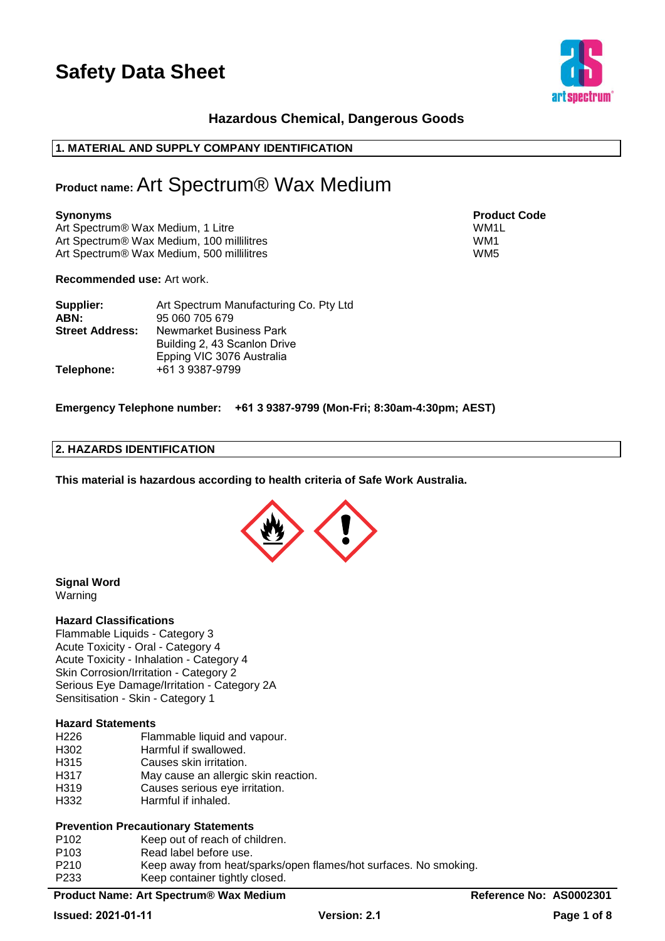

# **Hazardous Chemical, Dangerous Goods**

# **1. MATERIAL AND SUPPLY COMPANY IDENTIFICATION**

# **Product name:** Art Spectrum® Wax Medium

### **Synonyms Product Code**

Art Spectrum® Wax Medium, 1 Litre WM1L No. 1 2010 1 2010 1 2021 1 2022 1 2022 1 2022 1 2022 1 2022 1 2022 1 20 Art Spectrum® Wax Medium, 100 millilitres WM1 Art Spectrum® Wax Medium, 500 millilitres WM5

**Recommended use:** Art work.

| Supplier:              | Art Spectrum Manufacturing Co. Pty Ltd |
|------------------------|----------------------------------------|
| ABN:                   | 95 060 705 679                         |
| <b>Street Address:</b> | Newmarket Business Park                |
|                        | Building 2, 43 Scanlon Drive           |
|                        | Epping VIC 3076 Australia              |
| Telephone:             | +61 3 9387-9799                        |

**Emergency Telephone number: +61 3 9387-9799 (Mon-Fri; 8:30am-4:30pm; AEST)**

# **2. HAZARDS IDENTIFICATION**

**This material is hazardous according to health criteria of Safe Work Australia.**



#### **Signal Word**  Warning

#### **Hazard Classifications**

Flammable Liquids - Category 3 Acute Toxicity - Oral - Category 4 Acute Toxicity - Inhalation - Category 4 Skin Corrosion/Irritation - Category 2 Serious Eye Damage/Irritation - Category 2A Sensitisation - Skin - Category 1

#### **Hazard Statements**

- H226 Flammable liquid and vapour.
- H302 Harmful if swallowed.
- H315 Causes skin irritation.
- H317 May cause an allergic skin reaction.
- H319 Causes serious eve irritation.
- H332 Harmful if inhaled.

#### **Prevention Precautionary Statements**

- P102 Keep out of reach of children.
- P103 Read label before use.
- P210 Keep away from heat/sparks/open flames/hot surfaces. No smoking. P233 Keep container tightly closed.

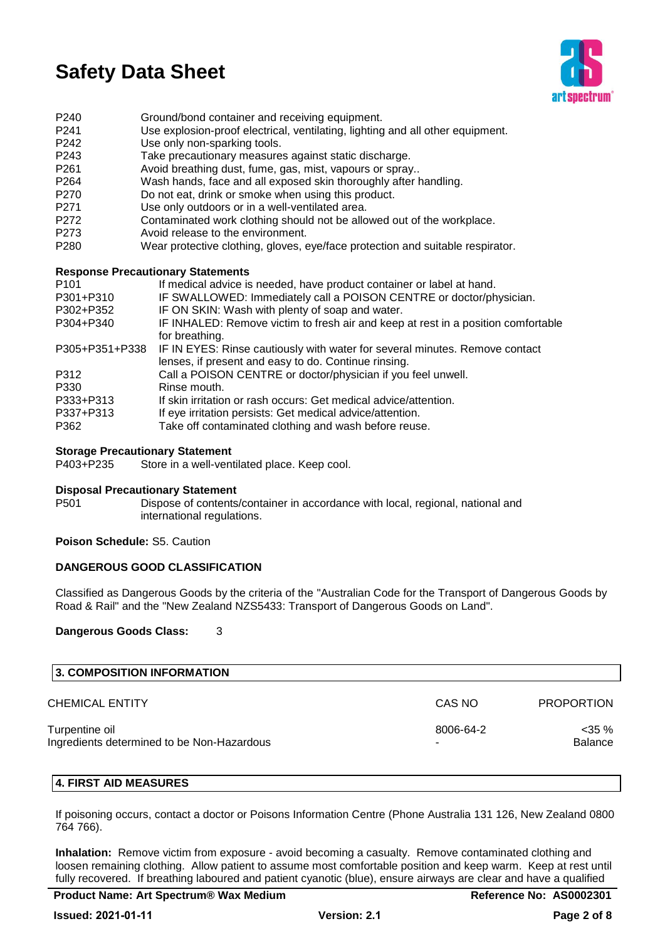

- P240 Ground/bond container and receiving equipment.
- P241 Use explosion-proof electrical, ventilating, lighting and all other equipment.
- P242 Use only non-sparking tools.
- P243 Take precautionary measures against static discharge.
- P261 Avoid breathing dust, fume, gas, mist, vapours or spray..
- P264 Wash hands, face and all exposed skin thoroughly after handling.
- P270 Do not eat, drink or smoke when using this product.
- P271 Use only outdoors or in a well-ventilated area.
- P272 Contaminated work clothing should not be allowed out of the workplace.
- P273 Avoid release to the environment.
- P280 Wear protective clothing, gloves, eye/face protection and suitable respirator.

#### **Response Precautionary Statements**

| P101           | If medical advice is needed, have product container or label at hand.             |
|----------------|-----------------------------------------------------------------------------------|
| P301+P310      | IF SWALLOWED: Immediately call a POISON CENTRE or doctor/physician.               |
| P302+P352      | IF ON SKIN: Wash with plenty of soap and water.                                   |
| P304+P340      | IF INHALED: Remove victim to fresh air and keep at rest in a position comfortable |
|                | for breathing.                                                                    |
| P305+P351+P338 | IF IN EYES: Rinse cautiously with water for several minutes. Remove contact       |
|                | lenses, if present and easy to do. Continue rinsing.                              |
| P312           | Call a POISON CENTRE or doctor/physician if you feel unwell.                      |
| P330           | Rinse mouth.                                                                      |
| P333+P313      | If skin irritation or rash occurs: Get medical advice/attention.                  |
| P337+P313      | If eye irritation persists: Get medical advice/attention.                         |
| P362           | Take off contaminated clothing and wash before reuse.                             |
|                |                                                                                   |

#### **Storage Precautionary Statement**

P403+P235 Store in a well-ventilated place. Keep cool.

#### **Disposal Precautionary Statement**

P501 Dispose of contents/container in accordance with local, regional, national and international regulations.

**Poison Schedule:** S5. Caution

### **DANGEROUS GOOD CLASSIFICATION**

Classified as Dangerous Goods by the criteria of the "Australian Code for the Transport of Dangerous Goods by Road & Rail" and the "New Zealand NZS5433: Transport of Dangerous Goods on Land".

### **Dangerous Goods Class:** 3

| <b>3. COMPOSITION INFORMATION</b>                            |           |                            |
|--------------------------------------------------------------|-----------|----------------------------|
| CHEMICAL ENTITY                                              | CAS NO    | <b>PROPORTION</b>          |
| Turpentine oil<br>Ingredients determined to be Non-Hazardous | 8006-64-2 | $<$ 35 %<br><b>Balance</b> |

### **4. FIRST AID MEASURES**

If poisoning occurs, contact a doctor or Poisons Information Centre (Phone Australia 131 126, New Zealand 0800 764 766).

**Inhalation:** Remove victim from exposure - avoid becoming a casualty. Remove contaminated clothing and loosen remaining clothing. Allow patient to assume most comfortable position and keep warm. Keep at rest until fully recovered. If breathing laboured and patient cyanotic (blue), ensure airways are clear and have a qualified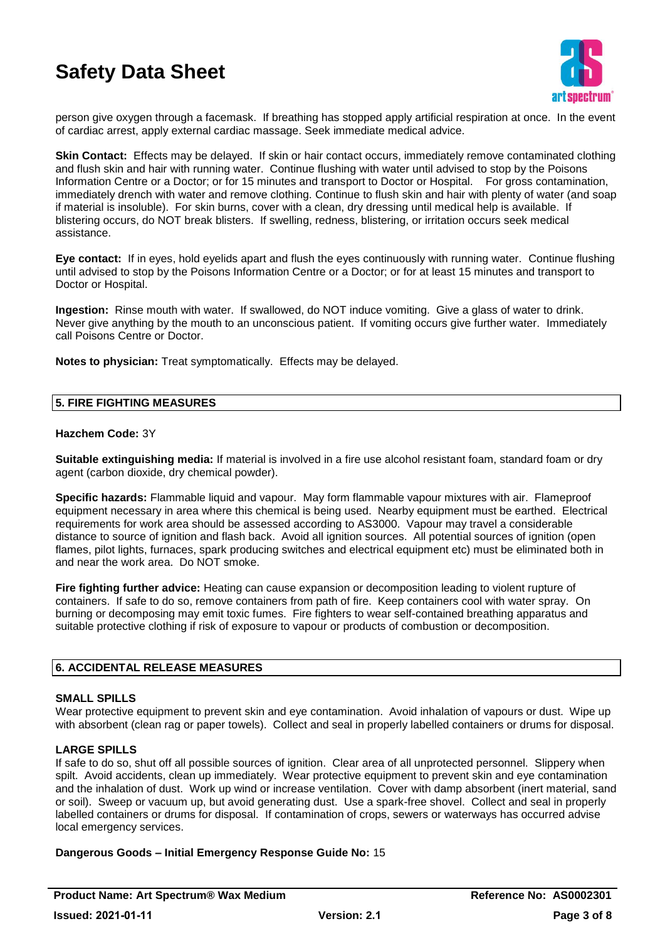

person give oxygen through a facemask. If breathing has stopped apply artificial respiration at once. In the event of cardiac arrest, apply external cardiac massage. Seek immediate medical advice.

**Skin Contact:** Effects may be delayed. If skin or hair contact occurs, immediately remove contaminated clothing and flush skin and hair with running water. Continue flushing with water until advised to stop by the Poisons Information Centre or a Doctor; or for 15 minutes and transport to Doctor or Hospital. For gross contamination, immediately drench with water and remove clothing. Continue to flush skin and hair with plenty of water (and soap if material is insoluble). For skin burns, cover with a clean, dry dressing until medical help is available. If blistering occurs, do NOT break blisters. If swelling, redness, blistering, or irritation occurs seek medical assistance.

**Eye contact:** If in eyes, hold eyelids apart and flush the eyes continuously with running water. Continue flushing until advised to stop by the Poisons Information Centre or a Doctor; or for at least 15 minutes and transport to Doctor or Hospital.

**Ingestion:** Rinse mouth with water. If swallowed, do NOT induce vomiting. Give a glass of water to drink. Never give anything by the mouth to an unconscious patient. If vomiting occurs give further water. Immediately call Poisons Centre or Doctor.

**Notes to physician:** Treat symptomatically. Effects may be delayed.

# **5. FIRE FIGHTING MEASURES**

# **Hazchem Code:** 3Y

**Suitable extinguishing media:** If material is involved in a fire use alcohol resistant foam, standard foam or dry agent (carbon dioxide, dry chemical powder).

**Specific hazards:** Flammable liquid and vapour. May form flammable vapour mixtures with air. Flameproof equipment necessary in area where this chemical is being used. Nearby equipment must be earthed. Electrical requirements for work area should be assessed according to AS3000. Vapour may travel a considerable distance to source of ignition and flash back. Avoid all ignition sources. All potential sources of ignition (open flames, pilot lights, furnaces, spark producing switches and electrical equipment etc) must be eliminated both in and near the work area. Do NOT smoke.

**Fire fighting further advice:** Heating can cause expansion or decomposition leading to violent rupture of containers. If safe to do so, remove containers from path of fire. Keep containers cool with water spray. On burning or decomposing may emit toxic fumes. Fire fighters to wear self-contained breathing apparatus and suitable protective clothing if risk of exposure to vapour or products of combustion or decomposition.

# **6. ACCIDENTAL RELEASE MEASURES**

#### **SMALL SPILLS**

Wear protective equipment to prevent skin and eye contamination. Avoid inhalation of vapours or dust. Wipe up with absorbent (clean rag or paper towels). Collect and seal in properly labelled containers or drums for disposal.

#### **LARGE SPILLS**

If safe to do so, shut off all possible sources of ignition. Clear area of all unprotected personnel. Slippery when spilt. Avoid accidents, clean up immediately. Wear protective equipment to prevent skin and eye contamination and the inhalation of dust. Work up wind or increase ventilation. Cover with damp absorbent (inert material, sand or soil). Sweep or vacuum up, but avoid generating dust. Use a spark-free shovel. Collect and seal in properly labelled containers or drums for disposal. If contamination of crops, sewers or waterways has occurred advise local emergency services.

#### **Dangerous Goods – Initial Emergency Response Guide No:** 15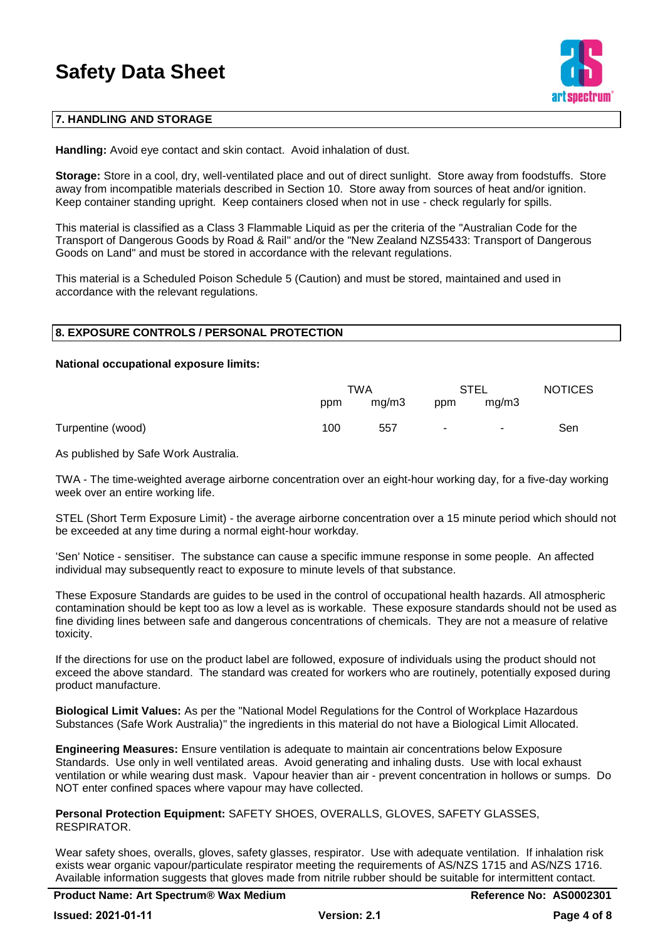

# **7. HANDLING AND STORAGE**

**Handling:** Avoid eye contact and skin contact. Avoid inhalation of dust.

**Storage:** Store in a cool, dry, well-ventilated place and out of direct sunlight. Store away from foodstuffs. Store away from incompatible materials described in Section 10. Store away from sources of heat and/or ignition. Keep container standing upright. Keep containers closed when not in use - check regularly for spills.

This material is classified as a Class 3 Flammable Liquid as per the criteria of the "Australian Code for the Transport of Dangerous Goods by Road & Rail" and/or the "New Zealand NZS5433: Transport of Dangerous Goods on Land" and must be stored in accordance with the relevant regulations.

This material is a Scheduled Poison Schedule 5 (Caution) and must be stored, maintained and used in accordance with the relevant regulations.

#### **8. EXPOSURE CONTROLS / PERSONAL PROTECTION**

#### **National occupational exposure limits:**

|                   |     | TWA   |        | <b>STEL</b> | <b>NOTICES</b> |
|-------------------|-----|-------|--------|-------------|----------------|
|                   | ppm | mq/m3 | ppm    | mq/m3       |                |
| Turpentine (wood) | 100 | 557   | $\sim$ | $\sim$      | Sen            |

As published by Safe Work Australia.

TWA - The time-weighted average airborne concentration over an eight-hour working day, for a five-day working week over an entire working life.

STEL (Short Term Exposure Limit) - the average airborne concentration over a 15 minute period which should not be exceeded at any time during a normal eight-hour workday.

'Sen' Notice - sensitiser. The substance can cause a specific immune response in some people. An affected individual may subsequently react to exposure to minute levels of that substance.

These Exposure Standards are guides to be used in the control of occupational health hazards. All atmospheric contamination should be kept too as low a level as is workable. These exposure standards should not be used as fine dividing lines between safe and dangerous concentrations of chemicals. They are not a measure of relative toxicity.

If the directions for use on the product label are followed, exposure of individuals using the product should not exceed the above standard. The standard was created for workers who are routinely, potentially exposed during product manufacture.

**Biological Limit Values:** As per the "National Model Regulations for the Control of Workplace Hazardous Substances (Safe Work Australia)" the ingredients in this material do not have a Biological Limit Allocated.

**Engineering Measures:** Ensure ventilation is adequate to maintain air concentrations below Exposure Standards. Use only in well ventilated areas. Avoid generating and inhaling dusts. Use with local exhaust ventilation or while wearing dust mask. Vapour heavier than air - prevent concentration in hollows or sumps. Do NOT enter confined spaces where vapour may have collected.

**Personal Protection Equipment:** SAFETY SHOES, OVERALLS, GLOVES, SAFETY GLASSES, RESPIRATOR.

Wear safety shoes, overalls, gloves, safety glasses, respirator. Use with adequate ventilation. If inhalation risk exists wear organic vapour/particulate respirator meeting the requirements of AS/NZS 1715 and AS/NZS 1716. Available information suggests that gloves made from nitrile rubber should be suitable for intermittent contact.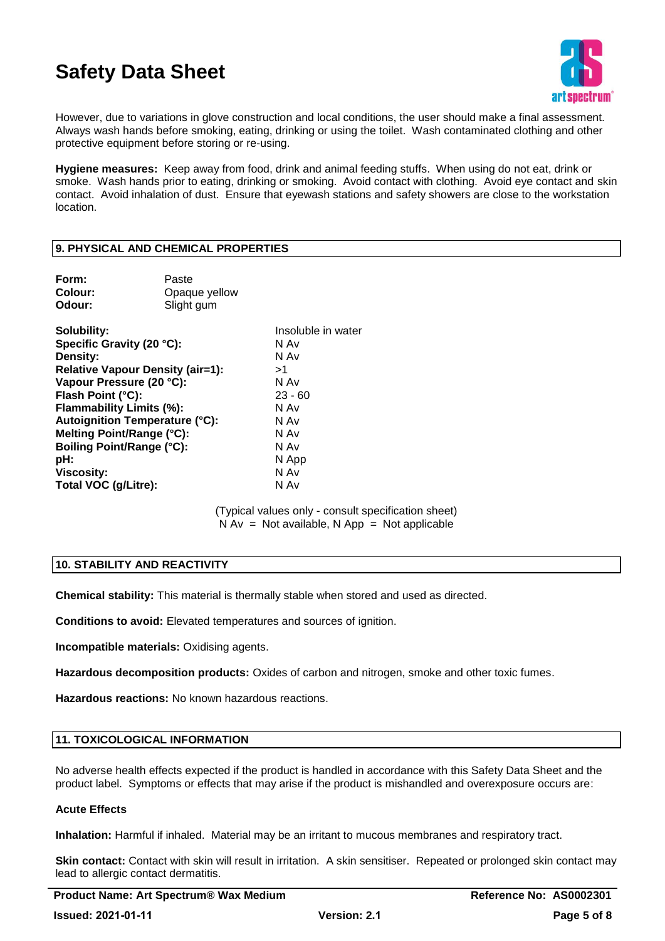

However, due to variations in glove construction and local conditions, the user should make a final assessment. Always wash hands before smoking, eating, drinking or using the toilet. Wash contaminated clothing and other protective equipment before storing or re-using.

**Hygiene measures:** Keep away from food, drink and animal feeding stuffs. When using do not eat, drink or smoke. Wash hands prior to eating, drinking or smoking. Avoid contact with clothing. Avoid eye contact and skin contact. Avoid inhalation of dust. Ensure that eyewash stations and safety showers are close to the workstation location.

# **9. PHYSICAL AND CHEMICAL PROPERTIES**

| Form:                                   | Paste         |                    |
|-----------------------------------------|---------------|--------------------|
| Colour:                                 | Opaque yellow |                    |
| Odour:                                  | Slight gum    |                    |
| Solubility:                             |               | Insoluble in water |
| Specific Gravity (20 °C):               |               | N Av               |
| Density:                                |               | N Av               |
| <b>Relative Vapour Density (air=1):</b> |               | >1                 |
| Vapour Pressure (20 °C):                |               | N Av               |
| Flash Point (°C):                       |               | $23 - 60$          |
| Flammability Limits (%):                |               | N Av               |
| Autoignition Temperature (°C):          |               | N Av               |
| Melting Point/Range (°C):               |               | N Av               |
| Boiling Point/Range (°C):               |               | N Av               |
| pH:                                     |               | N App              |
| <b>Viscosity:</b>                       |               | N Av               |
| Total VOC (g/Litre):                    |               | N Av               |

(Typical values only - consult specification sheet)  $N Av = Not available, N App = Not applicable$ 

# **10. STABILITY AND REACTIVITY**

**Chemical stability:** This material is thermally stable when stored and used as directed.

**Conditions to avoid:** Elevated temperatures and sources of ignition.

**Incompatible materials:** Oxidising agents.

**Hazardous decomposition products:** Oxides of carbon and nitrogen, smoke and other toxic fumes.

**Hazardous reactions:** No known hazardous reactions.

### **11. TOXICOLOGICAL INFORMATION**

No adverse health effects expected if the product is handled in accordance with this Safety Data Sheet and the product label. Symptoms or effects that may arise if the product is mishandled and overexposure occurs are:

#### **Acute Effects**

**Inhalation:** Harmful if inhaled. Material may be an irritant to mucous membranes and respiratory tract.

**Skin contact:** Contact with skin will result in irritation. A skin sensitiser. Repeated or prolonged skin contact may lead to allergic contact dermatitis.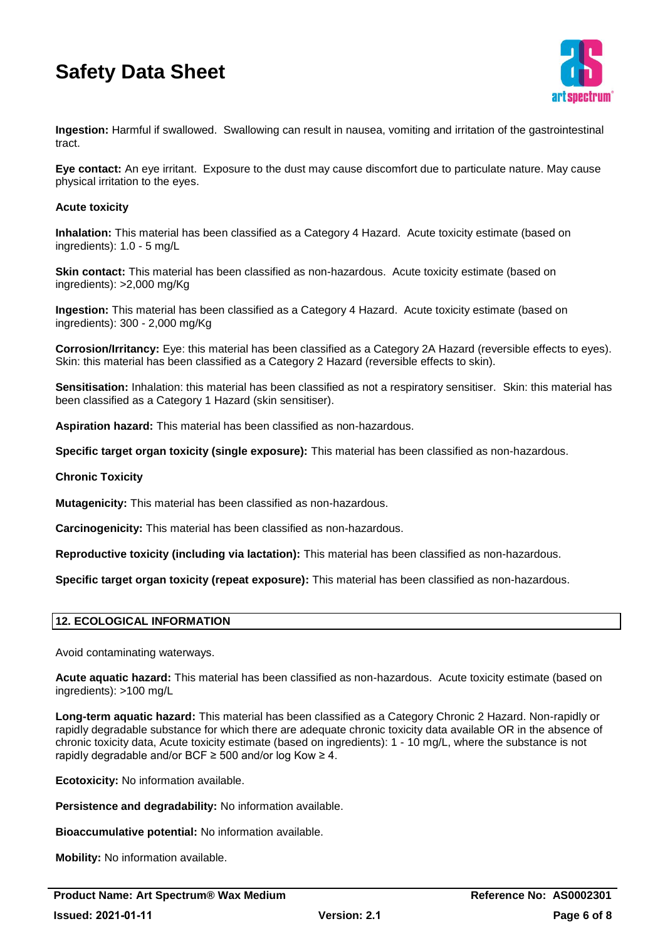

**Ingestion:** Harmful if swallowed. Swallowing can result in nausea, vomiting and irritation of the gastrointestinal tract.

**Eye contact:** An eye irritant. Exposure to the dust may cause discomfort due to particulate nature. May cause physical irritation to the eyes.

### **Acute toxicity**

**Inhalation:** This material has been classified as a Category 4 Hazard. Acute toxicity estimate (based on ingredients): 1.0 - 5 mg/L

**Skin contact:** This material has been classified as non-hazardous. Acute toxicity estimate (based on ingredients): >2,000 mg/Kg

**Ingestion:** This material has been classified as a Category 4 Hazard. Acute toxicity estimate (based on ingredients): 300 - 2,000 mg/Kg

**Corrosion/Irritancy:** Eye: this material has been classified as a Category 2A Hazard (reversible effects to eyes). Skin: this material has been classified as a Category 2 Hazard (reversible effects to skin).

**Sensitisation:** Inhalation: this material has been classified as not a respiratory sensitiser. Skin: this material has been classified as a Category 1 Hazard (skin sensitiser).

**Aspiration hazard:** This material has been classified as non-hazardous.

**Specific target organ toxicity (single exposure):** This material has been classified as non-hazardous.

#### **Chronic Toxicity**

**Mutagenicity:** This material has been classified as non-hazardous.

**Carcinogenicity:** This material has been classified as non-hazardous.

**Reproductive toxicity (including via lactation):** This material has been classified as non-hazardous.

**Specific target organ toxicity (repeat exposure):** This material has been classified as non-hazardous.

# **12. ECOLOGICAL INFORMATION**

Avoid contaminating waterways.

**Acute aquatic hazard:** This material has been classified as non-hazardous. Acute toxicity estimate (based on ingredients): >100 mg/L

**Long-term aquatic hazard:** This material has been classified as a Category Chronic 2 Hazard. Non-rapidly or rapidly degradable substance for which there are adequate chronic toxicity data available OR in the absence of chronic toxicity data, Acute toxicity estimate (based on ingredients): 1 - 10 mg/L, where the substance is not rapidly degradable and/or BCF  $\geq$  500 and/or log Kow  $\geq$  4.

**Ecotoxicity:** No information available.

**Persistence and degradability:** No information available.

**Bioaccumulative potential:** No information available.

**Mobility:** No information available.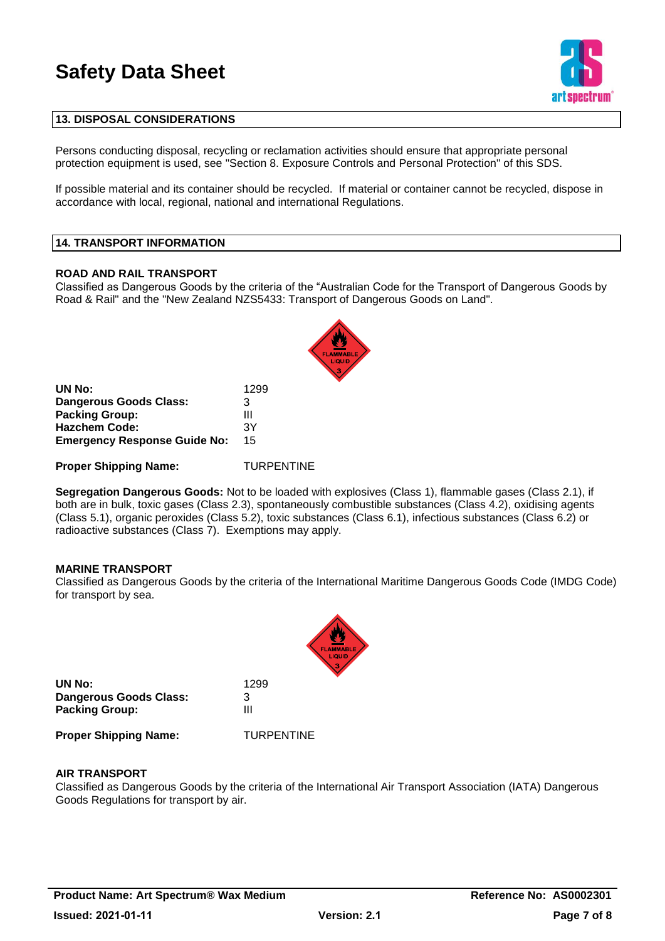

# **13. DISPOSAL CONSIDERATIONS**

Persons conducting disposal, recycling or reclamation activities should ensure that appropriate personal protection equipment is used, see "Section 8. Exposure Controls and Personal Protection" of this SDS.

If possible material and its container should be recycled. If material or container cannot be recycled, dispose in accordance with local, regional, national and international Regulations.

# **14. TRANSPORT INFORMATION**

#### **ROAD AND RAIL TRANSPORT**

Classified as Dangerous Goods by the criteria of the "Australian Code for the Transport of Dangerous Goods by Road & Rail" and the "New Zealand NZS5433: Transport of Dangerous Goods on Land".

| UN No:                              | 1299 |
|-------------------------------------|------|
| Dangerous Goods Class:              | З    |
| <b>Packing Group:</b>               | Ш    |
| <b>Hazchem Code:</b>                | 3Υ   |
| <b>Emergency Response Guide No:</b> | 15   |

**Proper Shipping Name:** TURPENTINE

**Segregation Dangerous Goods:** Not to be loaded with explosives (Class 1), flammable gases (Class 2.1), if both are in bulk, toxic gases (Class 2.3), spontaneously combustible substances (Class 4.2), oxidising agents (Class 5.1), organic peroxides (Class 5.2), toxic substances (Class 6.1), infectious substances (Class 6.2) or radioactive substances (Class 7). Exemptions may apply.

#### **MARINE TRANSPORT**

Classified as Dangerous Goods by the criteria of the International Maritime Dangerous Goods Code (IMDG Code) for transport by sea.



**UN No:** 1299 **Dangerous Goods Class:** 3 **Packing Group:** III

**Proper Shipping Name:** TURPENTINE

#### **AIR TRANSPORT**

Classified as Dangerous Goods by the criteria of the International Air Transport Association (IATA) Dangerous Goods Regulations for transport by air.